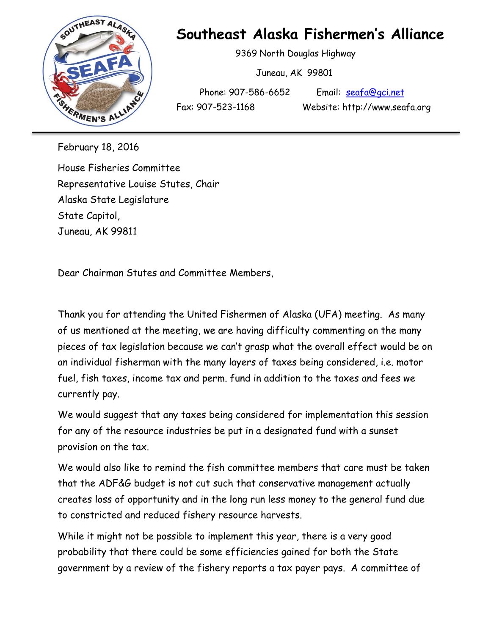

## **Southeast Alaska Fishermen's Alliance**

9369 North Douglas Highway

Juneau, AK 99801

Phone: 907-586-6652 Email: [seafa@gci.net](mailto:seafa@gci.net)

February 18, 2016

House Fisheries Committee Representative Louise Stutes, Chair Alaska State Legislature State Capitol, Juneau, AK 99811

Dear Chairman Stutes and Committee Members,

Thank you for attending the United Fishermen of Alaska (UFA) meeting. As many of us mentioned at the meeting, we are having difficulty commenting on the many pieces of tax legislation because we can't grasp what the overall effect would be on an individual fisherman with the many layers of taxes being considered, i.e. motor fuel, fish taxes, income tax and perm. fund in addition to the taxes and fees we currently pay.

We would suggest that any taxes being considered for implementation this session for any of the resource industries be put in a designated fund with a sunset provision on the tax.

We would also like to remind the fish committee members that care must be taken that the ADF&G budget is not cut such that conservative management actually creates loss of opportunity and in the long run less money to the general fund due to constricted and reduced fishery resource harvests.

While it might not be possible to implement this year, there is a very good probability that there could be some efficiencies gained for both the State government by a review of the fishery reports a tax payer pays. A committee of